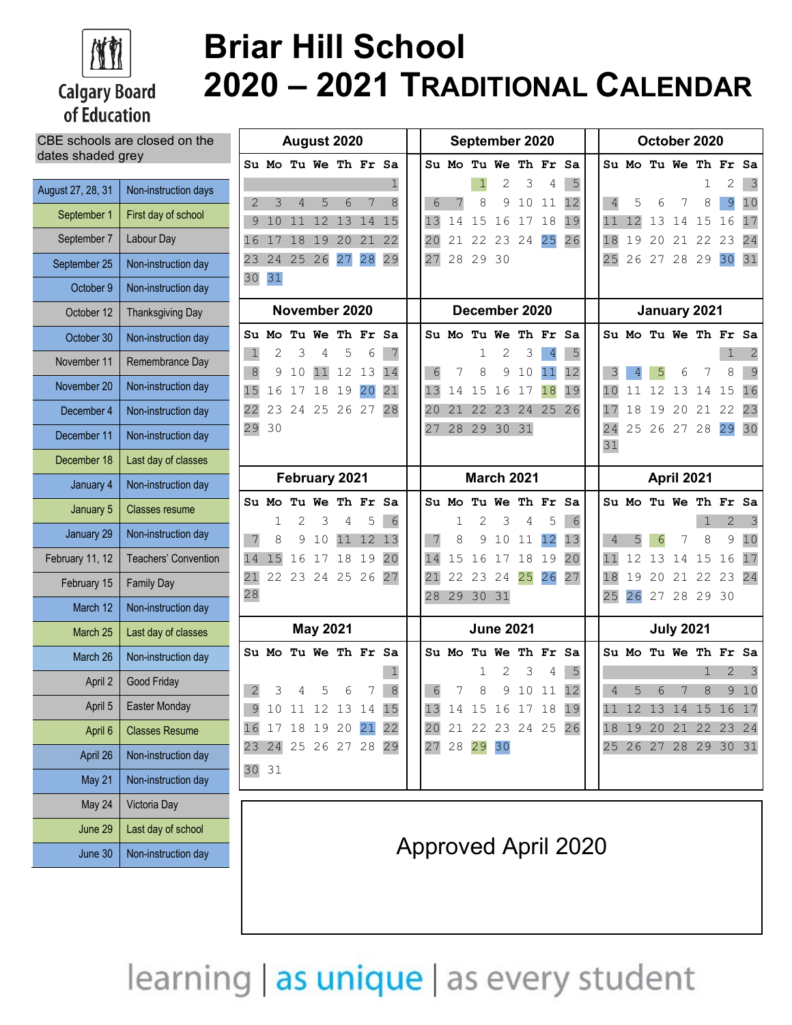

## **Calgary Board** of Education

# **Briar Hill School 2020 – 2021 TRADITIONAL CALENDAR**

| CBE schools are closed on the |                       | August 2020         |         |                |                 |                      |         | September 2020 |         |         |                      |                  |          |                      |                            | October 2020 |                |         |          |                  |                   |                      |                         |
|-------------------------------|-----------------------|---------------------|---------|----------------|-----------------|----------------------|---------|----------------|---------|---------|----------------------|------------------|----------|----------------------|----------------------------|--------------|----------------|---------|----------|------------------|-------------------|----------------------|-------------------------|
| dates shaded grey             |                       |                     |         |                |                 | Su Mo Tu We Th Fr Sa |         |                |         |         | Su Mo Tu We Th Fr Sa |                  |          |                      |                            |              |                |         |          |                  |                   | Su Mo Tu We Th Fr Sa |                         |
| August 27, 28, 31             | Non-instruction days  |                     |         |                |                 |                      |         |                |         |         |                      | 2                | 3        | 4                    | 5                          |              |                |         |          |                  |                   |                      | $\overline{\mathbf{3}}$ |
| September 1                   | First day of school   | $\overline{2}$<br>9 | 3<br>10 | $\overline{4}$ | 5<br>11 12 13   | 6                    | 7<br>14 | 8<br>15        | 6<br>13 | 7<br>14 | 8<br>15              | 9<br>16          | 10<br>17 | 11<br>18             | 12<br>19                   |              | $\overline{4}$ | 5<br>12 | 6<br>13  | 7<br>14          | 8<br>15           | $\overline{9}$<br>16 | 10<br>17                |
| September 7                   | Labour Day            | 16                  | 17      |                |                 | 18 19 20             | 21      | 22             | 20      | 21      | 22                   |                  | 23 24    | 25                   | 26                         |              | 18             | 19      | 20       | 21               | 22                | 23                   | 24                      |
| September 25                  | Non-instruction day   | 23                  | 24      | 25             | 26              | 27                   | 28      | 29             | 27      | 28      | 29                   | 30               |          |                      |                            |              | 25             |         | 26 27 28 |                  | 29                | 30                   | 31                      |
| October 9                     | Non-instruction day   | 30 31               |         |                |                 |                      |         |                |         |         |                      |                  |          |                      |                            |              |                |         |          |                  |                   |                      |                         |
| October 12                    | Thanksgiving Day      | November 2020       |         |                |                 | December 2020        |         |                |         |         | January 2021         |                  |          |                      |                            |              |                |         |          |                  |                   |                      |                         |
| October 30                    | Non-instruction day   |                     | Su Mo   |                |                 | Tu We Th Fr Sa       |         |                |         | Su Mo   |                      |                  |          | Tu We Th Fr Sa       |                            |              |                |         |          |                  |                   | Su Mo Tu We Th Fr Sa |                         |
| November 11                   | Remembrance Day       | $\mathbf{1}$<br>8   | 9       | 3<br>10        | 4<br>11         | 5<br>12              | 6<br>13 | 7<br>14        | 6       | 7       | 8                    | 2<br>9           | 3<br>10  | $\overline{4}$<br>11 | 5<br>12                    |              |                |         | 5        | 6                |                   | 8                    | 9                       |
| November 20                   | Non-instruction day   | 15                  | 16      | 17             | 18              | 19                   | 20      | 21             | 13      | 14      | 15                   | 16               | 17       | 18                   | 19                         |              | 10             | 11      | 12       | 13               | 14                | 15                   | 16                      |
| December 4                    | Non-instruction day   | 22                  |         |                |                 | 23 24 25 26 27       |         | 28             | 20      | 21      | 22                   | 23               | 24       | 25                   | 26                         |              | 17             | 18      | 19       | 20               | 21                | 22                   | 23                      |
| December 11                   | Non-instruction day   | 29 30               |         |                |                 |                      |         |                | 27      | 28      |                      | 29 30            | 31       |                      |                            |              | 24<br>31       | 25      | 26 27    |                  | 28                | 29                   | 30                      |
| December 18                   | Last day of classes   |                     |         |                |                 |                      |         |                |         |         |                      |                  |          |                      |                            |              |                |         |          |                  |                   |                      |                         |
| January 4                     | Non-instruction day   |                     |         |                |                 | February 2021        |         |                |         |         | <b>March 2021</b>    |                  |          |                      |                            |              |                |         |          | April 2021       |                   |                      |                         |
| January 5                     | <b>Classes resume</b> |                     | Su Mo   |                | 3               | Tu We Th Fr Sa       | 5       |                |         | Su Mo   |                      | 3                |          | Tu We Th Fr<br>5     | Sa                         |              |                |         |          |                  | Su Mo Tu We Th Fr |                      | Sa                      |
| January 29                    | Non-instruction day   | 7                   | 8       | 2<br>9         | 10              | 4<br>11              | 12 13   | 6              | 7       | 1<br>8  | 2<br>9               | 10               | 4<br>11  | 12                   | 6<br>13                    |              | $\overline{4}$ |         | 6        | 7                | 1<br>8            | $\mathbf{2}$<br>9    | 10                      |
| February 11, 12               | Teachers' Convention  | 14                  | 15      | 16             | 17 18           |                      | 19      | 20             | 14      | 15      | 16                   | 17               | 18       | 19                   | 20                         |              | 11             | 12      | 13       | 14               | 15                | 16                   | 17                      |
| February 15                   | <b>Family Day</b>     | 21<br>28            |         | 22 23 24 25    |                 |                      | 26      | 27             | 21      | 22      | 23                   | 24               | 25       | 26                   | 27                         |              | 18             | 19      | 20       | 21               | 22                | 23                   | 24                      |
| March 12                      | Non-instruction day   |                     |         |                |                 |                      |         |                | 28      | 29      | 30 31                |                  |          |                      |                            |              | 25             | 26      | 27       |                  | 28 29 30          |                      |                         |
| March 25                      | Last day of classes   |                     |         |                | <b>May 2021</b> |                      |         |                |         |         |                      | <b>June 2021</b> |          |                      |                            |              |                |         |          | <b>July 2021</b> |                   |                      |                         |
| March 26                      | Non-instruction day   |                     | Su Mo   |                |                 | Tu We Th Fr Sa       |         |                |         | Su Mo   |                      |                  |          | Tu We Th Fr Sa       |                            |              |                | Su Mo   |          |                  |                   | Tu We Th Fr Sa       |                         |
| April 2                       | Good Friday           | 2                   | 3       |                | 5               | 6                    | 7       | 8              | 6       |         | 1<br>8               | 2<br>9           | 3<br>10  | 4<br>11              | 5<br>12                    |              | $\overline{4}$ | 5       | 6        | 7                | 1<br>8            | $\overline{2}$       | 3<br>9 10               |
| April 5                       | Easter Monday         | $\mathfrak{S}$      |         |                |                 | 10 11 12 13 14       |         | 15             | 13 14   |         |                      |                  |          | 15 16 17 18          | 19                         |              | 11             |         |          |                  |                   | 12 13 14 15 16 17    |                         |
| April 6                       | <b>Classes Resume</b> |                     |         |                |                 | 16 17 18 19 20 21    |         | 22             |         |         | 20 21 22 23 24 25 26 |                  |          |                      |                            |              |                |         |          |                  | 18 19 20 21 22    | 23 24                |                         |
| April 26                      | Non-instruction day   |                     |         |                |                 | 23 24 25 26 27 28 29 |         |                |         |         | 27 28 29 30          |                  |          |                      |                            |              |                |         |          |                  |                   | 25 26 27 28 29 30 31 |                         |
| May 21                        | Non-instruction day   | 30 31               |         |                |                 |                      |         |                |         |         |                      |                  |          |                      |                            |              |                |         |          |                  |                   |                      |                         |
| May 24                        | Victoria Day          |                     |         |                |                 |                      |         |                |         |         |                      |                  |          |                      |                            |              |                |         |          |                  |                   |                      |                         |
| June 29                       | Last day of school    |                     |         |                |                 |                      |         |                |         |         |                      |                  |          |                      |                            |              |                |         |          |                  |                   |                      |                         |
| June 30                       | Non-instruction day   |                     |         |                |                 |                      |         |                |         |         |                      |                  |          |                      | <b>Approved April 2020</b> |              |                |         |          |                  |                   |                      |                         |

learning | as unique | as every student